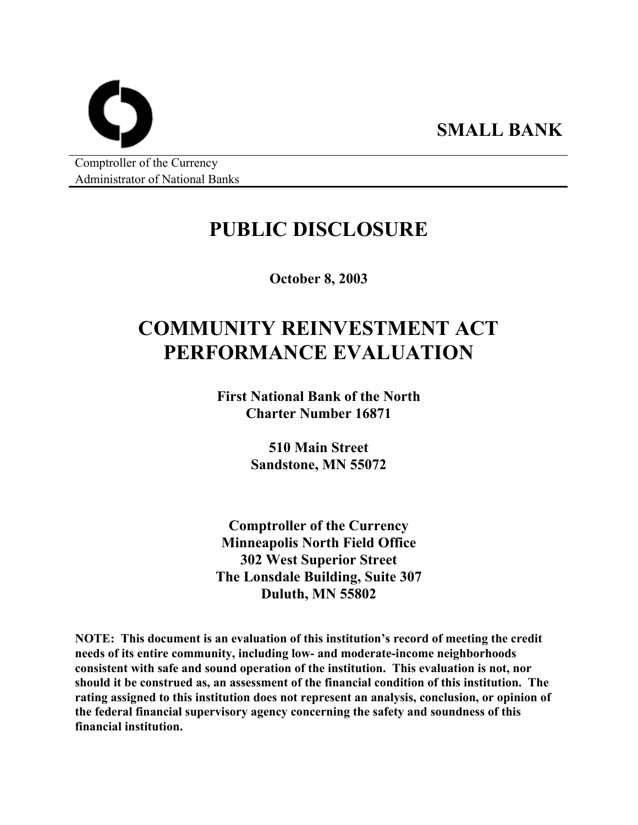Comptroller of the Currency Administrator of National Banks

# **PUBLIC DISCLOSURE**

**SMALL BANK** 

**October 8, 2003** 

# **COMMUNITY REINVESTMENT ACT PERFORMANCE EVALUATION**

**First National Bank of the North Charter Number 16871** 

> **510 Main Street Sandstone, MN 55072**

**Comptroller of the Currency Minneapolis North Field Office 302 West Superior Street The Lonsdale Building, Suite 307 Duluth, MN 55802** 

**NOTE: This document is an evaluation of this institution's record of meeting the credit needs of its entire community, including low- and moderate-income neighborhoods consistent with safe and sound operation of the institution. This evaluation is not, nor should it be construed as, an assessment of the financial condition of this institution. The rating assigned to this institution does not represent an analysis, conclusion, or opinion of the federal financial supervisory agency concerning the safety and soundness of this financial institution.**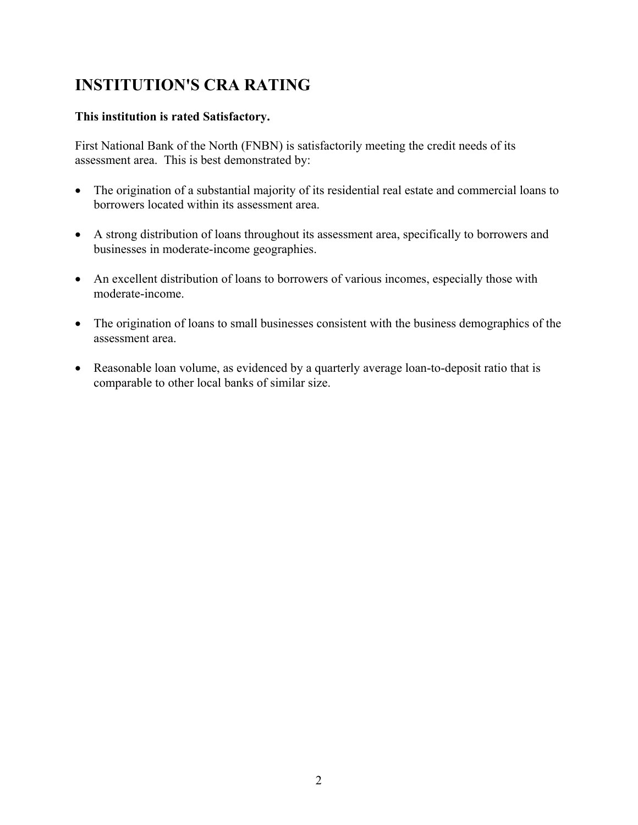# **INSTITUTION'S CRA RATING**

#### **This institution is rated Satisfactory.**

First National Bank of the North (FNBN) is satisfactorily meeting the credit needs of its assessment area. This is best demonstrated by:

- The origination of a substantial majority of its residential real estate and commercial loans to borrowers located within its assessment area.
- A strong distribution of loans throughout its assessment area, specifically to borrowers and businesses in moderate-income geographies.
- An excellent distribution of loans to borrowers of various incomes, especially those with moderate-income.
- The origination of loans to small businesses consistent with the business demographics of the assessment area.
- Reasonable loan volume, as evidenced by a quarterly average loan-to-deposit ratio that is comparable to other local banks of similar size.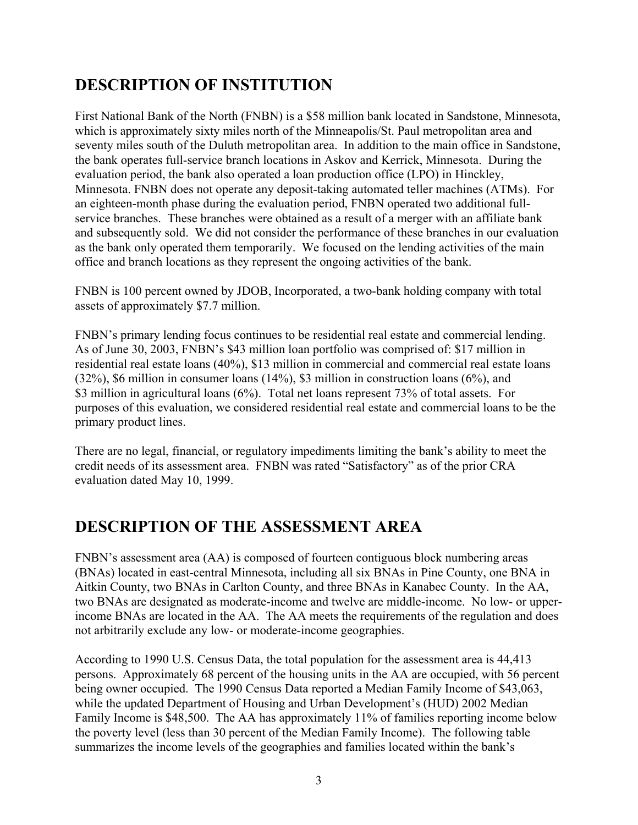# **DESCRIPTION OF INSTITUTION**

First National Bank of the North (FNBN) is a \$58 million bank located in Sandstone, Minnesota, which is approximately sixty miles north of the Minneapolis/St. Paul metropolitan area and seventy miles south of the Duluth metropolitan area. In addition to the main office in Sandstone, the bank operates full-service branch locations in Askov and Kerrick, Minnesota. During the evaluation period, the bank also operated a loan production office (LPO) in Hinckley, Minnesota. FNBN does not operate any deposit-taking automated teller machines (ATMs). For an eighteen-month phase during the evaluation period, FNBN operated two additional fullservice branches. These branches were obtained as a result of a merger with an affiliate bank and subsequently sold. We did not consider the performance of these branches in our evaluation as the bank only operated them temporarily. We focused on the lending activities of the main office and branch locations as they represent the ongoing activities of the bank.

FNBN is 100 percent owned by JDOB, Incorporated, a two-bank holding company with total assets of approximately \$7.7 million.

FNBN's primary lending focus continues to be residential real estate and commercial lending. As of June 30, 2003, FNBN's \$43 million loan portfolio was comprised of: \$17 million in residential real estate loans (40%), \$13 million in commercial and commercial real estate loans (32%), \$6 million in consumer loans (14%), \$3 million in construction loans (6%), and \$3 million in agricultural loans (6%). Total net loans represent 73% of total assets. For purposes of this evaluation, we considered residential real estate and commercial loans to be the primary product lines.

There are no legal, financial, or regulatory impediments limiting the bank's ability to meet the credit needs of its assessment area. FNBN was rated "Satisfactory" as of the prior CRA evaluation dated May 10, 1999.

## **DESCRIPTION OF THE ASSESSMENT AREA**

FNBN's assessment area (AA) is composed of fourteen contiguous block numbering areas (BNAs) located in east-central Minnesota, including all six BNAs in Pine County, one BNA in Aitkin County, two BNAs in Carlton County, and three BNAs in Kanabec County. In the AA, two BNAs are designated as moderate-income and twelve are middle-income. No low- or upperincome BNAs are located in the AA. The AA meets the requirements of the regulation and does not arbitrarily exclude any low- or moderate-income geographies.

According to 1990 U.S. Census Data, the total population for the assessment area is 44,413 persons. Approximately 68 percent of the housing units in the AA are occupied, with 56 percent being owner occupied. The 1990 Census Data reported a Median Family Income of \$43,063, while the updated Department of Housing and Urban Development's (HUD) 2002 Median Family Income is \$48,500. The AA has approximately 11% of families reporting income below the poverty level (less than 30 percent of the Median Family Income). The following table summarizes the income levels of the geographies and families located within the bank's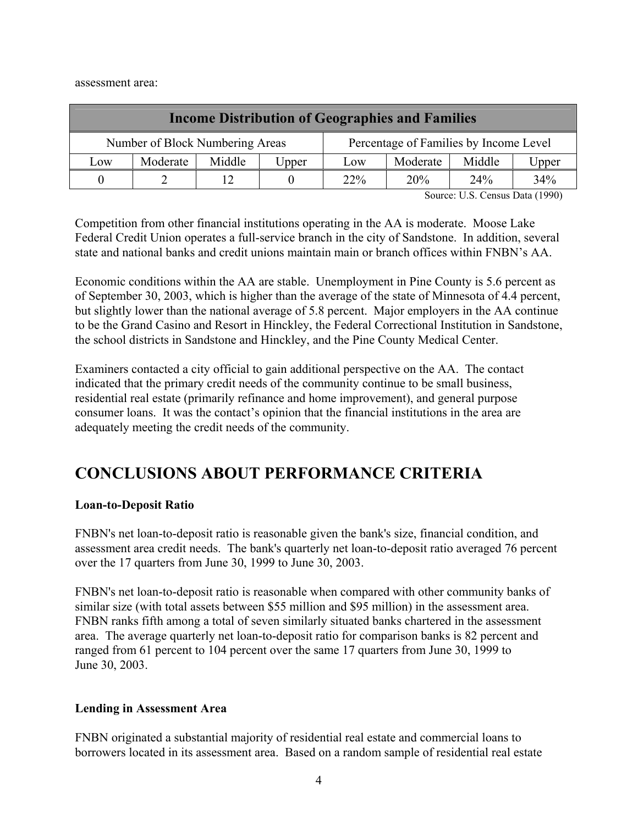assessment area:

| <b>Income Distribution of Geographies and Families</b> |                                                                           |  |     |          |        |       |     |
|--------------------------------------------------------|---------------------------------------------------------------------------|--|-----|----------|--------|-------|-----|
|                                                        | Number of Block Numbering Areas<br>Percentage of Families by Income Level |  |     |          |        |       |     |
| Middle<br>Moderate<br>Low<br>Upper                     |                                                                           |  | Low | Moderate | Middle | Upper |     |
| 0                                                      |                                                                           |  |     | $22\%$   | 20%    | 24%   | 34% |

Source: U.S. Census Data (1990)

Competition from other financial institutions operating in the AA is moderate. Moose Lake Federal Credit Union operates a full-service branch in the city of Sandstone. In addition, several state and national banks and credit unions maintain main or branch offices within FNBN's AA.

Economic conditions within the AA are stable. Unemployment in Pine County is 5.6 percent as of September 30, 2003, which is higher than the average of the state of Minnesota of 4.4 percent, but slightly lower than the national average of 5.8 percent. Major employers in the AA continue to be the Grand Casino and Resort in Hinckley, the Federal Correctional Institution in Sandstone, the school districts in Sandstone and Hinckley, and the Pine County Medical Center.

Examiners contacted a city official to gain additional perspective on the AA. The contact indicated that the primary credit needs of the community continue to be small business, residential real estate (primarily refinance and home improvement), and general purpose consumer loans. It was the contact's opinion that the financial institutions in the area are adequately meeting the credit needs of the community.

## **CONCLUSIONS ABOUT PERFORMANCE CRITERIA**

#### **Loan-to-Deposit Ratio**

FNBN's net loan-to-deposit ratio is reasonable given the bank's size, financial condition, and assessment area credit needs. The bank's quarterly net loan-to-deposit ratio averaged 76 percent over the 17 quarters from June 30, 1999 to June 30, 2003.

FNBN's net loan-to-deposit ratio is reasonable when compared with other community banks of similar size (with total assets between \$55 million and \$95 million) in the assessment area. FNBN ranks fifth among a total of seven similarly situated banks chartered in the assessment area. The average quarterly net loan-to-deposit ratio for comparison banks is 82 percent and ranged from 61 percent to 104 percent over the same 17 quarters from June 30, 1999 to June 30, 2003.

#### **Lending in Assessment Area**

FNBN originated a substantial majority of residential real estate and commercial loans to borrowers located in its assessment area. Based on a random sample of residential real estate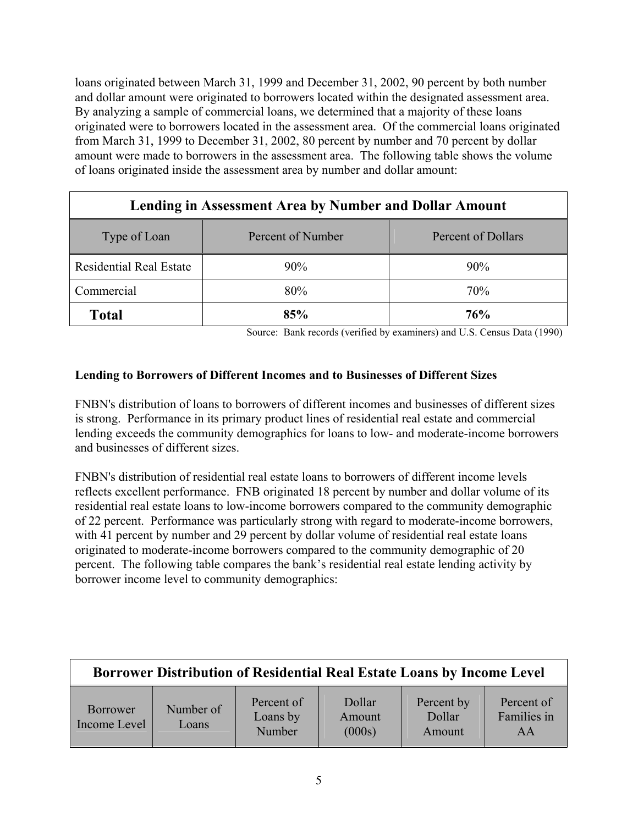loans originated between March 31, 1999 and December 31, 2002, 90 percent by both number and dollar amount were originated to borrowers located within the designated assessment area. By analyzing a sample of commercial loans, we determined that a majority of these loans originated were to borrowers located in the assessment area. Of the commercial loans originated from March 31, 1999 to December 31, 2002, 80 percent by number and 70 percent by dollar amount were made to borrowers in the assessment area. The following table shows the volume of loans originated inside the assessment area by number and dollar amount:

| Lending in Assessment Area by Number and Dollar Amount  |     |        |  |  |  |  |
|---------------------------------------------------------|-----|--------|--|--|--|--|
| Percent of Number<br>Percent of Dollars<br>Type of Loan |     |        |  |  |  |  |
| <b>Residential Real Estate</b>                          | 90% | $90\%$ |  |  |  |  |
| Commercial                                              | 80% | 70%    |  |  |  |  |
| <b>Total</b>                                            | 85% | 76%    |  |  |  |  |

Source: Bank records (verified by examiners) and U.S. Census Data (1990)

#### **Lending to Borrowers of Different Incomes and to Businesses of Different Sizes**

FNBN's distribution of loans to borrowers of different incomes and businesses of different sizes is strong. Performance in its primary product lines of residential real estate and commercial lending exceeds the community demographics for loans to low- and moderate-income borrowers and businesses of different sizes.

FNBN's distribution of residential real estate loans to borrowers of different income levels reflects excellent performance. FNB originated 18 percent by number and dollar volume of its residential real estate loans to low-income borrowers compared to the community demographic of 22 percent. Performance was particularly strong with regard to moderate-income borrowers, with 41 percent by number and 29 percent by dollar volume of residential real estate loans originated to moderate-income borrowers compared to the community demographic of 20 percent. The following table compares the bank's residential real estate lending activity by borrower income level to community demographics:

| Borrower Distribution of Residential Real Estate Loans by Income Level |                    |                                  |                            |                                |                                 |  |  |
|------------------------------------------------------------------------|--------------------|----------------------------------|----------------------------|--------------------------------|---------------------------------|--|--|
| <b>Borrower</b><br>Income Level                                        | Number of<br>Loans | Percent of<br>Loans by<br>Number | Dollar<br>Amount<br>(000s) | Percent by<br>Dollar<br>Amount | Percent of<br>Families in<br>AA |  |  |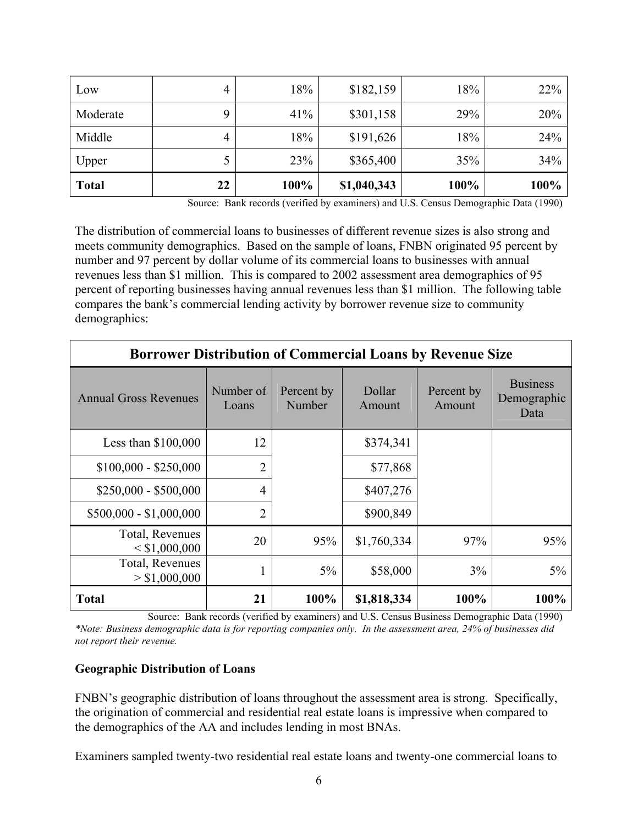| Low          | 4  | 18%  | \$182,159   | 18%  | 22%  |
|--------------|----|------|-------------|------|------|
| Moderate     |    | 41%  | \$301,158   | 29%  | 20%  |
| Middle       | 4  | 18%  | \$191,626   | 18%  | 24%  |
| Upper        |    | 23%  | \$365,400   | 35%  | 34%  |
| <b>Total</b> | 22 | 100% | \$1,040,343 | 100% | 100% |

Source: Bank records (verified by examiners) and U.S. Census Demographic Data (1990)

The distribution of commercial loans to businesses of different revenue sizes is also strong and meets community demographics. Based on the sample of loans, FNBN originated 95 percent by number and 97 percent by dollar volume of its commercial loans to businesses with annual revenues less than \$1 million. This is compared to 2002 assessment area demographics of 95 percent of reporting businesses having annual revenues less than \$1 million. The following table compares the bank's commercial lending activity by borrower revenue size to community demographics:

| <b>Borrower Distribution of Commercial Loans by Revenue Size</b> |                    |                      |                  |                      |                                        |  |  |  |
|------------------------------------------------------------------|--------------------|----------------------|------------------|----------------------|----------------------------------------|--|--|--|
| <b>Annual Gross Revenues</b>                                     | Number of<br>Loans | Percent by<br>Number | Dollar<br>Amount | Percent by<br>Amount | <b>Business</b><br>Demographic<br>Data |  |  |  |
| Less than $$100,000$                                             | 12                 |                      | \$374,341        |                      |                                        |  |  |  |
| $$100,000 - $250,000$                                            | $\overline{2}$     |                      | \$77,868         |                      |                                        |  |  |  |
| $$250,000 - $500,000$                                            | $\overline{4}$     |                      | \$407,276        |                      |                                        |  |  |  |
| $$500,000 - $1,000,000$                                          | $\overline{2}$     |                      | \$900,849        |                      |                                        |  |  |  |
| Total, Revenues<br>< \$1,000,000                                 | 20                 | 95%                  | \$1,760,334      | 97%                  | 95%                                    |  |  |  |
| Total, Revenues<br>> \$1,000,000                                 | 1                  | $5\%$                | \$58,000         | 3%                   | $5\%$                                  |  |  |  |
| <b>Total</b>                                                     | 21                 | 100%                 | \$1,818,334      | 100%                 | 100%                                   |  |  |  |

Source: Bank records (verified by examiners) and U.S. Census Business Demographic Data (1990) *\*Note: Business demographic data is for reporting companies only. In the assessment area, 24% of businesses did not report their revenue.*

#### **Geographic Distribution of Loans**

FNBN's geographic distribution of loans throughout the assessment area is strong. Specifically, the origination of commercial and residential real estate loans is impressive when compared to the demographics of the AA and includes lending in most BNAs.

Examiners sampled twenty-two residential real estate loans and twenty-one commercial loans to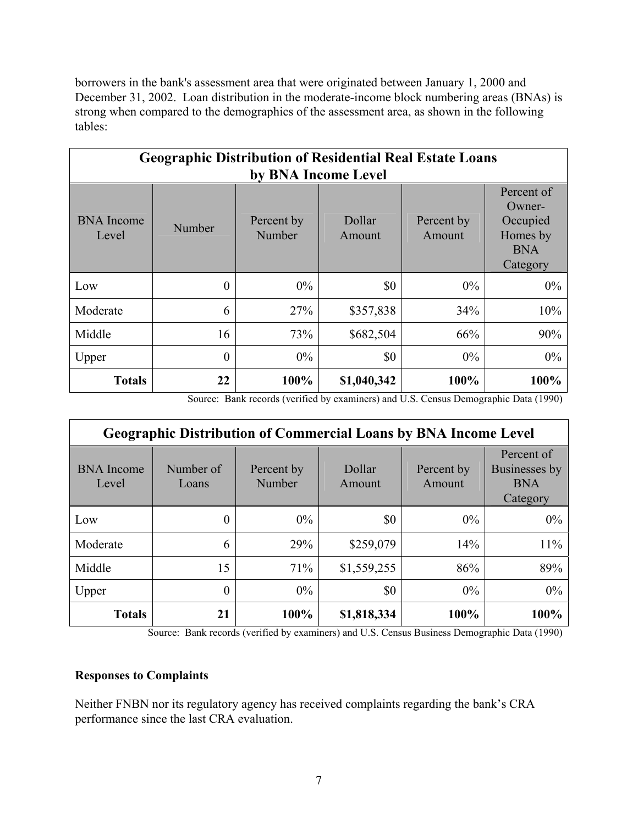borrowers in the bank's assessment area that were originated between January 1, 2000 and December 31, 2002. Loan distribution in the moderate-income block numbering areas (BNAs) is strong when compared to the demographics of the assessment area, as shown in the following tables:

| <b>Geographic Distribution of Residential Real Estate Loans</b><br>by BNA Income Level |                                                                                                                                                      |       |           |       |       |  |  |  |
|----------------------------------------------------------------------------------------|------------------------------------------------------------------------------------------------------------------------------------------------------|-------|-----------|-------|-------|--|--|--|
| <b>BNA</b> Income<br>Level                                                             | Percent of<br>Owner-<br>Dollar<br>Occupied<br>Percent by<br>Percent by<br>Number<br>Homes by<br>Number<br>Amount<br>Amount<br><b>BNA</b><br>Category |       |           |       |       |  |  |  |
| Low                                                                                    | $\theta$                                                                                                                                             | $0\%$ | \$0       | $0\%$ | $0\%$ |  |  |  |
| Moderate                                                                               | 6                                                                                                                                                    | 27%   | \$357,838 | 34%   | 10%   |  |  |  |
| Middle                                                                                 | 16                                                                                                                                                   | 73%   | \$682,504 | 66%   | 90%   |  |  |  |
| Upper                                                                                  | 0                                                                                                                                                    | $0\%$ | \$0       | $0\%$ | 0%    |  |  |  |
| 100%<br>100%<br>22<br>\$1,040,342<br>100%<br><b>Totals</b>                             |                                                                                                                                                      |       |           |       |       |  |  |  |

Source: Bank records (verified by examiners) and U.S. Census Demographic Data (1990)

| <b>Geographic Distribution of Commercial Loans by BNA Income Level</b> |                    |                      |                  |                      |                                                       |  |  |  |
|------------------------------------------------------------------------|--------------------|----------------------|------------------|----------------------|-------------------------------------------------------|--|--|--|
| <b>BNA</b> Income<br>Level                                             | Number of<br>Loans | Percent by<br>Number | Dollar<br>Amount | Percent by<br>Amount | Percent of<br>Businesses by<br><b>BNA</b><br>Category |  |  |  |
| Low                                                                    | 0                  | $0\%$                | \$0              | $0\%$                | $0\%$                                                 |  |  |  |
| Moderate                                                               | 6                  | 29%                  | \$259,079        | 14%                  | 11%                                                   |  |  |  |
| Middle                                                                 | 15                 | 71%                  | \$1,559,255      | 86%                  | 89%                                                   |  |  |  |
| Upper                                                                  | 0                  | $0\%$                | \$0              | $0\%$                | 0%                                                    |  |  |  |
| <b>Totals</b>                                                          | 21                 | 100%                 | \$1,818,334      | 100%                 | 100%                                                  |  |  |  |

Source: Bank records (verified by examiners) and U.S. Census Business Demographic Data (1990)

#### **Responses to Complaints**

Neither FNBN nor its regulatory agency has received complaints regarding the bank's CRA performance since the last CRA evaluation.